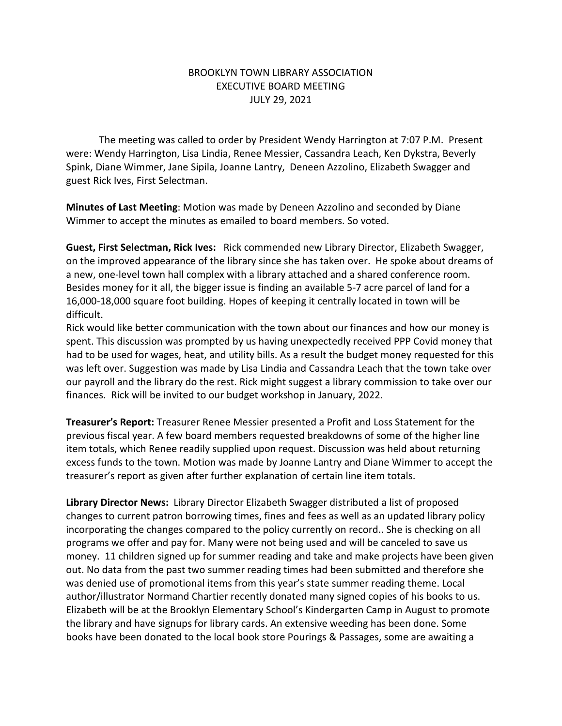## BROOKLYN TOWN LIBRARY ASSOCIATION EXECUTIVE BOARD MEETING JULY 29, 2021

The meeting was called to order by President Wendy Harrington at 7:07 P.M. Present were: Wendy Harrington, Lisa Lindia, Renee Messier, Cassandra Leach, Ken Dykstra, Beverly Spink, Diane Wimmer, Jane Sipila, Joanne Lantry, Deneen Azzolino, Elizabeth Swagger and guest Rick Ives, First Selectman.

**Minutes of Last Meeting**: Motion was made by Deneen Azzolino and seconded by Diane Wimmer to accept the minutes as emailed to board members. So voted.

**Guest, First Selectman, Rick Ives:** Rick commended new Library Director, Elizabeth Swagger, on the improved appearance of the library since she has taken over. He spoke about dreams of a new, one-level town hall complex with a library attached and a shared conference room. Besides money for it all, the bigger issue is finding an available 5-7 acre parcel of land for a 16,000-18,000 square foot building. Hopes of keeping it centrally located in town will be difficult.

Rick would like better communication with the town about our finances and how our money is spent. This discussion was prompted by us having unexpectedly received PPP Covid money that had to be used for wages, heat, and utility bills. As a result the budget money requested for this was left over. Suggestion was made by Lisa Lindia and Cassandra Leach that the town take over our payroll and the library do the rest. Rick might suggest a library commission to take over our finances. Rick will be invited to our budget workshop in January, 2022.

**Treasurer's Report:** Treasurer Renee Messier presented a Profit and Loss Statement for the previous fiscal year. A few board members requested breakdowns of some of the higher line item totals, which Renee readily supplied upon request. Discussion was held about returning excess funds to the town. Motion was made by Joanne Lantry and Diane Wimmer to accept the treasurer's report as given after further explanation of certain line item totals.

**Library Director News:** Library Director Elizabeth Swagger distributed a list of proposed changes to current patron borrowing times, fines and fees as well as an updated library policy incorporating the changes compared to the policy currently on record.. She is checking on all programs we offer and pay for. Many were not being used and will be canceled to save us money. 11 children signed up for summer reading and take and make projects have been given out. No data from the past two summer reading times had been submitted and therefore she was denied use of promotional items from this year's state summer reading theme. Local author/illustrator Normand Chartier recently donated many signed copies of his books to us. Elizabeth will be at the Brooklyn Elementary School's Kindergarten Camp in August to promote the library and have signups for library cards. An extensive weeding has been done. Some books have been donated to the local book store Pourings & Passages, some are awaiting a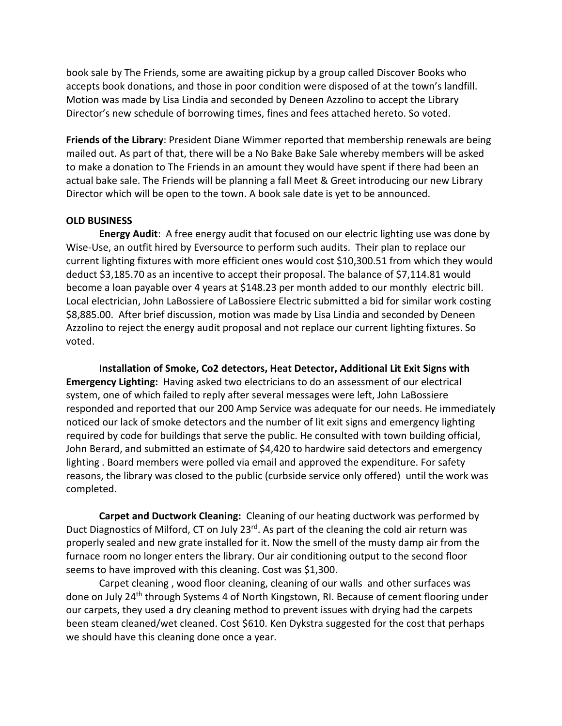book sale by The Friends, some are awaiting pickup by a group called Discover Books who accepts book donations, and those in poor condition were disposed of at the town's landfill. Motion was made by Lisa Lindia and seconded by Deneen Azzolino to accept the Library Director's new schedule of borrowing times, fines and fees attached hereto. So voted.

**Friends of the Library**: President Diane Wimmer reported that membership renewals are being mailed out. As part of that, there will be a No Bake Bake Sale whereby members will be asked to make a donation to The Friends in an amount they would have spent if there had been an actual bake sale. The Friends will be planning a fall Meet & Greet introducing our new Library Director which will be open to the town. A book sale date is yet to be announced.

## **OLD BUSINESS**

**Energy Audit**: A free energy audit that focused on our electric lighting use was done by Wise-Use, an outfit hired by Eversource to perform such audits. Their plan to replace our current lighting fixtures with more efficient ones would cost \$10,300.51 from which they would deduct \$3,185.70 as an incentive to accept their proposal. The balance of \$7,114.81 would become a loan payable over 4 years at \$148.23 per month added to our monthly electric bill. Local electrician, John LaBossiere of LaBossiere Electric submitted a bid for similar work costing \$8,885.00. After brief discussion, motion was made by Lisa Lindia and seconded by Deneen Azzolino to reject the energy audit proposal and not replace our current lighting fixtures. So voted.

**Installation of Smoke, Co2 detectors, Heat Detector, Additional Lit Exit Signs with Emergency Lighting:** Having asked two electricians to do an assessment of our electrical system, one of which failed to reply after several messages were left, John LaBossiere responded and reported that our 200 Amp Service was adequate for our needs. He immediately noticed our lack of smoke detectors and the number of lit exit signs and emergency lighting required by code for buildings that serve the public. He consulted with town building official, John Berard, and submitted an estimate of \$4,420 to hardwire said detectors and emergency lighting . Board members were polled via email and approved the expenditure. For safety reasons, the library was closed to the public (curbside service only offered) until the work was completed.

**Carpet and Ductwork Cleaning:** Cleaning of our heating ductwork was performed by Duct Diagnostics of Milford, CT on July 23<sup>rd</sup>. As part of the cleaning the cold air return was properly sealed and new grate installed for it. Now the smell of the musty damp air from the furnace room no longer enters the library. Our air conditioning output to the second floor seems to have improved with this cleaning. Cost was \$1,300.

Carpet cleaning , wood floor cleaning, cleaning of our walls and other surfaces was done on July 24th through Systems 4 of North Kingstown, RI. Because of cement flooring under our carpets, they used a dry cleaning method to prevent issues with drying had the carpets been steam cleaned/wet cleaned. Cost \$610. Ken Dykstra suggested for the cost that perhaps we should have this cleaning done once a year.